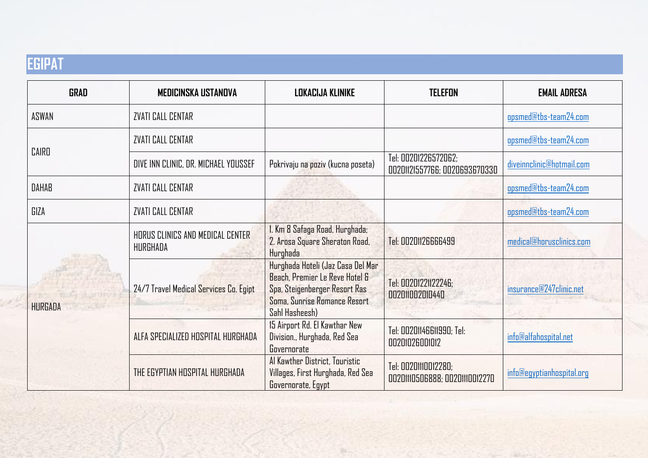## **EGIPAT**

| <b>GRAD</b>    | <b>MEDICINSKA USTANOVA</b>                                                                                                                                                                                    | LOKACIJA KLINIKE                                                                                                                                       | <b>TELEFON</b>                                        | <b>EMAIL ADRESA</b>       |
|----------------|---------------------------------------------------------------------------------------------------------------------------------------------------------------------------------------------------------------|--------------------------------------------------------------------------------------------------------------------------------------------------------|-------------------------------------------------------|---------------------------|
| ASWAN          | ZVATI CALL CENTAR                                                                                                                                                                                             |                                                                                                                                                        |                                                       | opsmed@tbs-team24.com     |
| CAIRD          | <b>ZVATI CALL CENTAR</b>                                                                                                                                                                                      |                                                                                                                                                        |                                                       | opsmed@tbs-team24.com     |
|                | DIVE INN CLINIC, DR. MICHAEL YOUSSEF                                                                                                                                                                          | Pokrivaju na poziv (kucna poseta)                                                                                                                      | Tel: 00201226572062;<br>00201121557766; 0020693670330 | diveinnelinic@hotmail.com |
| <b>DAHAB</b>   | <b>ZVATI CALL CENTAR</b>                                                                                                                                                                                      |                                                                                                                                                        |                                                       | opsmed@tbs-team24.com     |
| GIZA           | <b>ZVATI CALL CENTAR</b>                                                                                                                                                                                      |                                                                                                                                                        |                                                       | opsmed@tbs-team24.com     |
| <b>HURGADA</b> | HORUS CLINICS AND MEDICAL CENTER<br>HURGHADA                                                                                                                                                                  | 1. Km 8 Safaga Road, Hurghada;<br>2. Arosa Square Sheraton Road,<br>Hurghada                                                                           | Tel: 00201126666499                                   | medical@horusclinics.com  |
|                | 24/7 Travel Medical Services Co. Egipt<br>$\mathcal{L}(\mathcal{L}_{\mathcal{A}}) = \mathcal{L}(\mathcal{L}_{\mathcal{A}}) + \mathcal{L}(\mathcal{L}_{\mathcal{A}}) + \mathcal{L}(\mathcal{L}_{\mathcal{A}})$ | Hurghada Hoteli (Jaz Casa Del Mar<br>Beach, Premier Le Reve Hotel &<br>Spa, Steigenberger Resort Ras<br>Soma, Sunrise Romance Resort<br>Sahl Hasheesh) | Tel: 00201221122246;<br>002011002010440               | insurance@247clinic.net   |
|                | ALFA SPECIALIZED HOSPITAL HURGHADA                                                                                                                                                                            | 15 Airport Rd. El Kawthar New<br>Division., Hurghada, Red Sea<br>Governorate                                                                           | Tel: 00201146611990; Tel:<br>00201026001012           | info@alfahospital.net     |
|                | THE EGYPTIAN HOSPITAL HURGHADA                                                                                                                                                                                | Al Kawther District, Touristic<br>Villages, First Hurghada, Red Sea<br>Governorate, Egypt                                                              | Tel: 00201110012280;<br>0020110506888; 00201110012270 | info@egyptianhospital.org |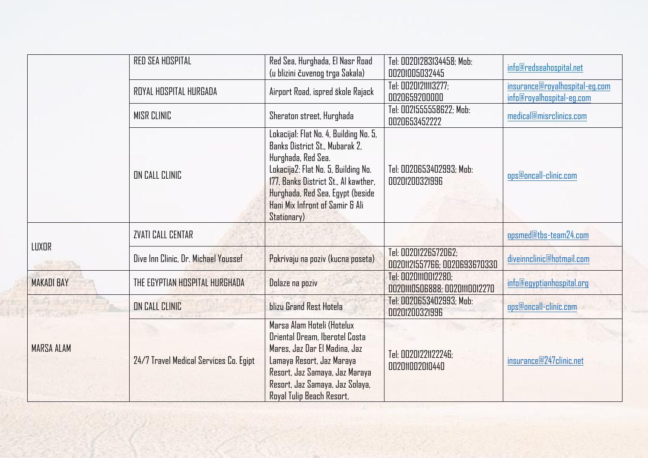|                   | RED SEA HOSPITAL                       | Red Sea, Hurghada, El Nasr Road<br>(u blizini čuvenog trga Sakala)                                                                                                                                                                                                  | Tel: 00201283134458; Mob:<br>00201005032445           | info@redseahospital.net                                     |
|-------------------|----------------------------------------|---------------------------------------------------------------------------------------------------------------------------------------------------------------------------------------------------------------------------------------------------------------------|-------------------------------------------------------|-------------------------------------------------------------|
|                   | ROYAL HOSPITAL HURGADA                 | Airport Road, ispred škole Rajack                                                                                                                                                                                                                                   | Tel: 00201211113277:<br>0020659200000                 | insurance@royalhospital-eg.com<br>info@royalhospital-eg.com |
|                   | <b>MISR CLINIC</b>                     | Sheraton street, Hurghada                                                                                                                                                                                                                                           | Tel: 0021555558622; Mob:<br>0020653452222             | medical@misrclinics.com                                     |
|                   | ON CALL CLINIC                         | Lokacijal: Flat No. 4, Building No. 5,<br>Banks District St., Mubarak 2,<br>Hurghada, Red Sea.<br>Lokacija2: Flat No. 5, Building No.<br>177, Banks District St., Al kawther,<br>Hurghada, Red Sea, Egypt (beside<br>Hani Mix Infront of Samir & Ali<br>Stationary) | Tel: 0020653402993; Mob:<br>00201200321996            | ops@oncall-clinic.com                                       |
| LUXOR             | <b>ZVATI CALL CENTAR</b>               |                                                                                                                                                                                                                                                                     |                                                       | opsmed@tbs-team24.com                                       |
|                   | Dive Inn Clinic, Dr. Michael Youssef   | Pokrivaju na poziv (kucna poseta)                                                                                                                                                                                                                                   | Tel: 00201226572062:<br>00201121557766; 0020693670330 | diveinnelinic@hotmail.com                                   |
| <b>MAKADI BAY</b> | THE EGYPTIAN HOSPITAL HURGHADA         | Dolaze na poziv                                                                                                                                                                                                                                                     | Tel: 00201110012280;<br>0020110506888; 00201110012270 | info@egyptianhospital.org                                   |
| <b>MARSA ALAM</b> | ON CALL CLINIC                         | blizu Grand Rest Hotela                                                                                                                                                                                                                                             | Tel: 0020653402993; Mob:<br>00201200321996            | ops@oncall-clinic.com                                       |
|                   | 24/7 Travel Medical Services Co. Egipt | Marsa Alam Hoteli (Hotelux<br>Oriental Dream, Iberotel Costa<br>Mares, Jaz Dar El Madina, Jaz<br>Lamaya Resort, Jaz Maraya<br>Resort, Jaz Samaya, Jaz Maraya<br>Resort, Jaz Samaya, Jaz Solaya,<br>Royal Tulip Beach Resort,                                        | Tel: 00201221122246;<br>002011002010440               | insurance@247clinic.net                                     |

Ξ,